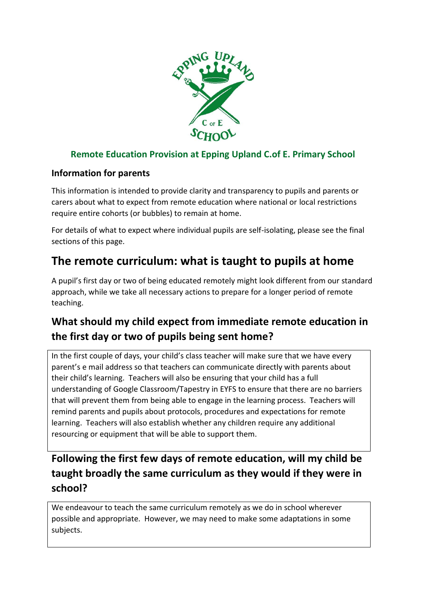

#### **Remote Education Provision at Epping Upland C.of E. Primary School**

#### **Information for parents**

This information is intended to provide clarity and transparency to pupils and parents or carers about what to expect from remote education where national or local restrictions require entire cohorts (or bubbles) to remain at home.

For details of what to expect where individual pupils are self-isolating, please see the final sections of this page.

### **The remote curriculum: what is taught to pupils at home**

A pupil's first day or two of being educated remotely might look different from our standard approach, while we take all necessary actions to prepare for a longer period of remote teaching.

## **What should my child expect from immediate remote education in the first day or two of pupils being sent home?**

In the first couple of days, your child's class teacher will make sure that we have every parent's e mail address so that teachers can communicate directly with parents about their child's learning. Teachers will also be ensuring that your child has a full understanding of Google Classroom/Tapestry in EYFS to ensure that there are no barriers that will prevent them from being able to engage in the learning process. Teachers will remind parents and pupils about protocols, procedures and expectations for remote learning. Teachers will also establish whether any children require any additional resourcing or equipment that will be able to support them.

### **Following the first few days of remote education, will my child be taught broadly the same curriculum as they would if they were in school?**

We endeavour to teach the same curriculum remotely as we do in school wherever possible and appropriate. However, we may need to make some adaptations in some subjects.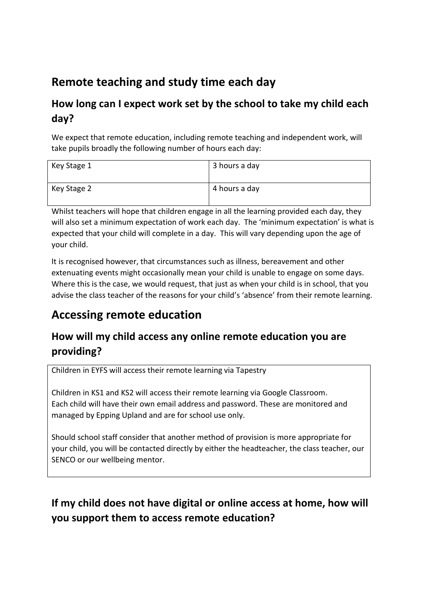# **Remote teaching and study time each day**

### **How long can I expect work set by the school to take my child each day?**

We expect that remote education, including remote teaching and independent work, will take pupils broadly the following number of hours each day:

| Key Stage 1 | 3 hours a day |
|-------------|---------------|
| Key Stage 2 | 4 hours a day |

Whilst teachers will hope that children engage in all the learning provided each day, they will also set a minimum expectation of work each day. The 'minimum expectation' is what is expected that your child will complete in a day. This will vary depending upon the age of your child.

It is recognised however, that circumstances such as illness, bereavement and other extenuating events might occasionally mean your child is unable to engage on some days. Where this is the case, we would request, that just as when your child is in school, that you advise the class teacher of the reasons for your child's 'absence' from their remote learning.

# **Accessing remote education**

### **How will my child access any online remote education you are providing?**

Children in EYFS will access their remote learning via Tapestry

Children in KS1 and KS2 will access their remote learning via Google Classroom. Each child will have their own email address and password. These are monitored and managed by Epping Upland and are for school use only.

Should school staff consider that another method of provision is more appropriate for your child, you will be contacted directly by either the headteacher, the class teacher, our SENCO or our wellbeing mentor.

## **If my child does not have digital or online access at home, how will you support them to access remote education?**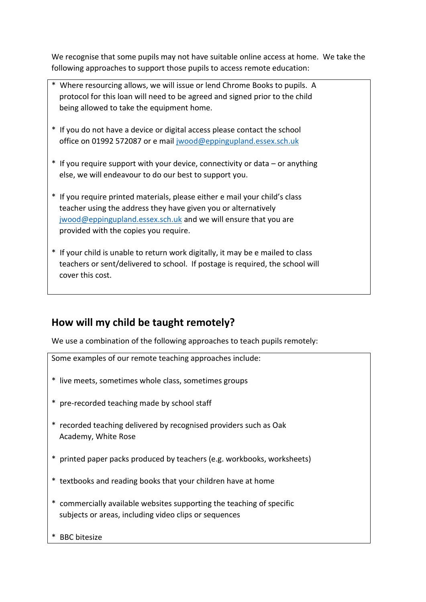We recognise that some pupils may not have suitable online access at home. We take the following approaches to support those pupils to access remote education:

- \* Where resourcing allows, we will issue or lend Chrome Books to pupils. A protocol for this loan will need to be agreed and signed prior to the child being allowed to take the equipment home.
- \* If you do not have a device or digital access please contact the school office on 01992 572087 or e mail [jwood@eppingupland.essex.sch.uk](mailto:jwood@eppingupland.essex.sch.uk)
- \* If you require support with your device, connectivity or data or anything else, we will endeavour to do our best to support you.
- \* If you require printed materials, please either e mail your child's class teacher using the address they have given you or alternatively [jwood@eppingupland.essex.sch.uk](mailto:jwood@eppingupland.essex.sch.uk) and we will ensure that you are provided with the copies you require.
- \* If your child is unable to return work digitally, it may be e mailed to class teachers or sent/delivered to school. If postage is required, the school will cover this cost.

#### **How will my child be taught remotely?**

We use a combination of the following approaches to teach pupils remotely:

Some examples of our remote teaching approaches include:

- \* live meets, sometimes whole class, sometimes groups
- \* pre-recorded teaching made by school staff
- \* recorded teaching delivered by recognised providers such as Oak Academy, White Rose
- \* printed paper packs produced by teachers (e.g. workbooks, worksheets)
- \* textbooks and reading books that your children have at home
- \* commercially available websites supporting the teaching of specific subjects or areas, including video clips or sequences
- \* BBC bitesize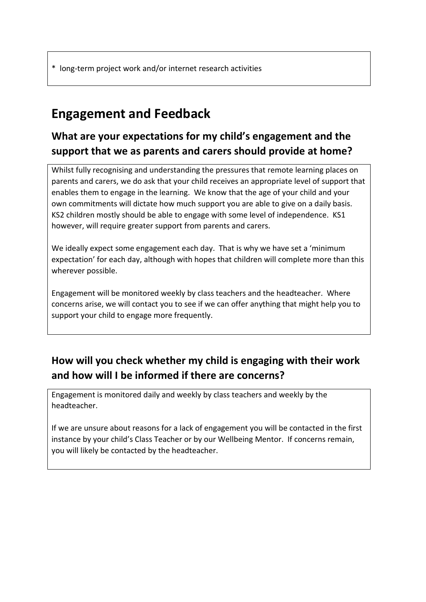\* long-term project work and/or internet research activities

# **Engagement and Feedback**

### **What are your expectations for my child's engagement and the support that we as parents and carers should provide at home?**

Whilst fully recognising and understanding the pressures that remote learning places on parents and carers, we do ask that your child receives an appropriate level of support that enables them to engage in the learning. We know that the age of your child and your own commitments will dictate how much support you are able to give on a daily basis. KS2 children mostly should be able to engage with some level of independence. KS1 however, will require greater support from parents and carers.

We ideally expect some engagement each day. That is why we have set a 'minimum expectation' for each day, although with hopes that children will complete more than this wherever possible.

Engagement will be monitored weekly by class teachers and the headteacher. Where concerns arise, we will contact you to see if we can offer anything that might help you to support your child to engage more frequently.

### **How will you check whether my child is engaging with their work and how will I be informed if there are concerns?**

Engagement is monitored daily and weekly by class teachers and weekly by the headteacher.

If we are unsure about reasons for a lack of engagement you will be contacted in the first instance by your child's Class Teacher or by our Wellbeing Mentor. If concerns remain, you will likely be contacted by the headteacher.